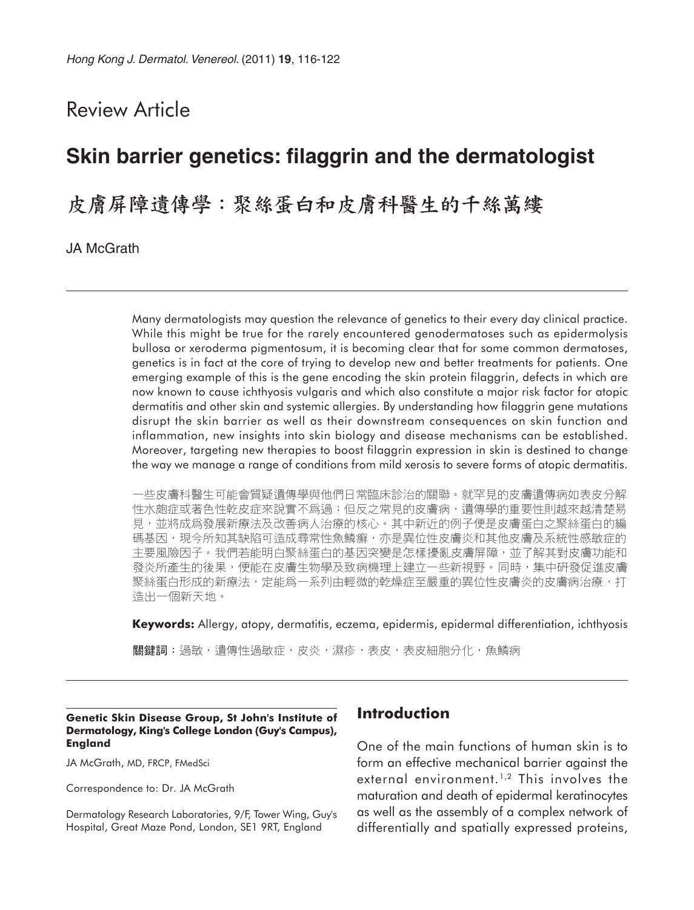# Review Article

# **Skin barrier genetics: filaggrin and the dermatologist**

皮膚屏障遺傳學:聚絲蛋白和皮膚科醫生的千絲萬縷

JA McGrath

Many dermatologists may question the relevance of genetics to their every day clinical practice. While this might be true for the rarely encountered genodermatoses such as epidermolysis bullosa or xeroderma pigmentosum, it is becoming clear that for some common dermatoses, genetics is in fact at the core of trying to develop new and better treatments for patients. One emerging example of this is the gene encoding the skin protein filaggrin, defects in which are now known to cause ichthyosis vulgaris and which also constitute a major risk factor for atopic dermatitis and other skin and systemic allergies. By understanding how filaggrin gene mutations disrupt the skin barrier as well as their downstream consequences on skin function and inflammation, new insights into skin biology and disease mechanisms can be established. Moreover, targeting new therapies to boost filaggrin expression in skin is destined to change the way we manage a range of conditions from mild xerosis to severe forms of atopic dermatitis.

一些皮膚科醫生可能會質疑遺傳學與他們日常臨床診治的關聯。就罕見的皮膚遺傳病如表皮分解 性水皰症或著色性乾皮症來說實不爲過;但反之常見的皮膚病,遺傳學的重要性則越來越清楚易 見,並將成爲發展新療法及改善病人治療的核心。其中新近的例子便是皮膚蛋白之聚絲蛋白的編 碼基因,現今所知其缺陷可造成尋常性魚鱗癬,亦是異位性皮膚炎和其他皮膚及系統性感敏症的 主要風險因子。我們若能明白聚絲蛋白的基因突變是怎樣擾亂皮膚屏障,並了解其對皮膚功能和 發炎所產生的後果,便能在皮膚生物學及致病機理上建立一些新視野。同時,集中研發促進皮膚 聚絲蛋白形成的新療法,定能爲一系列由輕微的乾燥症至嚴重的異位性皮膚炎的皮膚病治療,打 造出一個新天地。

**Keywords:** Allergy, atopy, dermatitis, eczema, epidermis, epidermal differentiation, ichthyosis

關鍵詞:過敏,遺傳性過敏症,皮炎,濕疹,表皮,表皮細胞分化,魚鱗病

#### **Genetic Skin Disease Group, St John's Institute of Dermatology, King's College London (Guy's Campus), England**

JA McGrath, MD, FRCP, FMedSci

Correspondence to: Dr. JA McGrath

Dermatology Research Laboratories, 9/F, Tower Wing, Guy's Hospital, Great Maze Pond, London, SE1 9RT, England

#### **Introduction**

One of the main functions of human skin is to form an effective mechanical barrier against the external environment.<sup>1,2</sup> This involves the maturation and death of epidermal keratinocytes as well as the assembly of a complex network of differentially and spatially expressed proteins,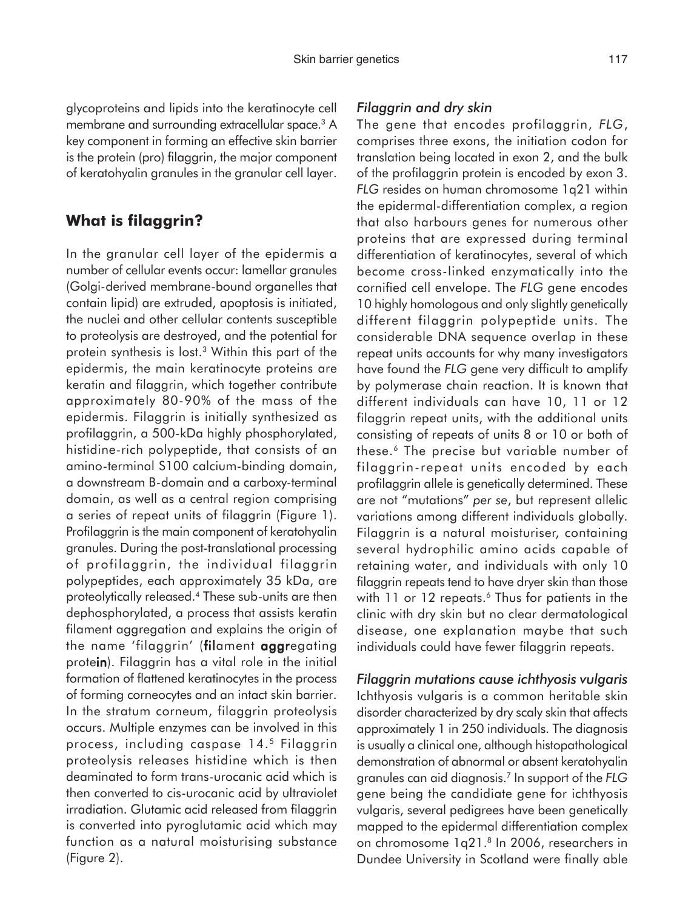glycoproteins and lipids into the keratinocyte cell membrane and surrounding extracellular space.<sup>3</sup> A key component in forming an effective skin barrier is the protein (pro) filaggrin, the major component of keratohyalin granules in the granular cell layer.

### **What is filaggrin?**

In the granular cell layer of the epidermis a number of cellular events occur: lamellar granules (Golgi-derived membrane-bound organelles that contain lipid) are extruded, apoptosis is initiated, the nuclei and other cellular contents susceptible to proteolysis are destroyed, and the potential for protein synthesis is lost.3 Within this part of the epidermis, the main keratinocyte proteins are keratin and filaggrin, which together contribute approximately 80-90% of the mass of the epidermis. Filaggrin is initially synthesized as profilaggrin, a 500-kDa highly phosphorylated, histidine-rich polypeptide, that consists of an amino-terminal S100 calcium-binding domain, a downstream B-domain and a carboxy-terminal domain, as well as a central region comprising a series of repeat units of filaggrin (Figure 1). Profilaggrin is the main component of keratohyalin granules. During the post-translational processing of profilaggrin, the individual filaggrin polypeptides, each approximately 35 kDa, are proteolytically released.4 These sub-units are then dephosphorylated, a process that assists keratin filament aggregation and explains the origin of the name 'filaggrin' (filament aggregating protein). Filaggrin has a vital role in the initial formation of flattened keratinocytes in the process of forming corneocytes and an intact skin barrier. In the stratum corneum, filaggrin proteolysis occurs. Multiple enzymes can be involved in this process, including caspase 14.5 Filaggrin proteolysis releases histidine which is then deaminated to form trans-urocanic acid which is then converted to cis-urocanic acid by ultraviolet irradiation. Glutamic acid released from filaggrin is converted into pyroglutamic acid which may function as a natural moisturising substance (Figure 2).

#### *Filaggrin and dry skin*

The gene that encodes profilaggrin, *FLG*, comprises three exons, the initiation codon for translation being located in exon 2, and the bulk of the profilaggrin protein is encoded by exon 3. *FLG* resides on human chromosome 1q21 within the epidermal-differentiation complex, a region that also harbours genes for numerous other proteins that are expressed during terminal differentiation of keratinocytes, several of which become cross-linked enzymatically into the cornified cell envelope. The *FLG* gene encodes 10 highly homologous and only slightly genetically different filaggrin polypeptide units. The considerable DNA sequence overlap in these repeat units accounts for why many investigators have found the *FLG* gene very difficult to amplify by polymerase chain reaction. It is known that different individuals can have 10, 11 or 12 filaggrin repeat units, with the additional units consisting of repeats of units 8 or 10 or both of these.6 The precise but variable number of filaggrin-repeat units encoded by each profilaggrin allele is genetically determined. These are not "mutations" *per se*, but represent allelic variations among different individuals globally. Filaggrin is a natural moisturiser, containing several hydrophilic amino acids capable of retaining water, and individuals with only 10 filaggrin repeats tend to have dryer skin than those with 11 or 12 repeats.<sup>6</sup> Thus for patients in the clinic with dry skin but no clear dermatological disease, one explanation maybe that such individuals could have fewer filaggrin repeats.

*Filaggrin mutations cause ichthyosis vulgaris* Ichthyosis vulgaris is a common heritable skin disorder characterized by dry scaly skin that affects approximately 1 in 250 individuals. The diagnosis is usually a clinical one, although histopathological demonstration of abnormal or absent keratohyalin granules can aid diagnosis.7 In support of the *FLG* gene being the candidiate gene for ichthyosis vulgaris, several pedigrees have been genetically mapped to the epidermal differentiation complex on chromosome 1q21.<sup>8</sup> In 2006, researchers in Dundee University in Scotland were finally able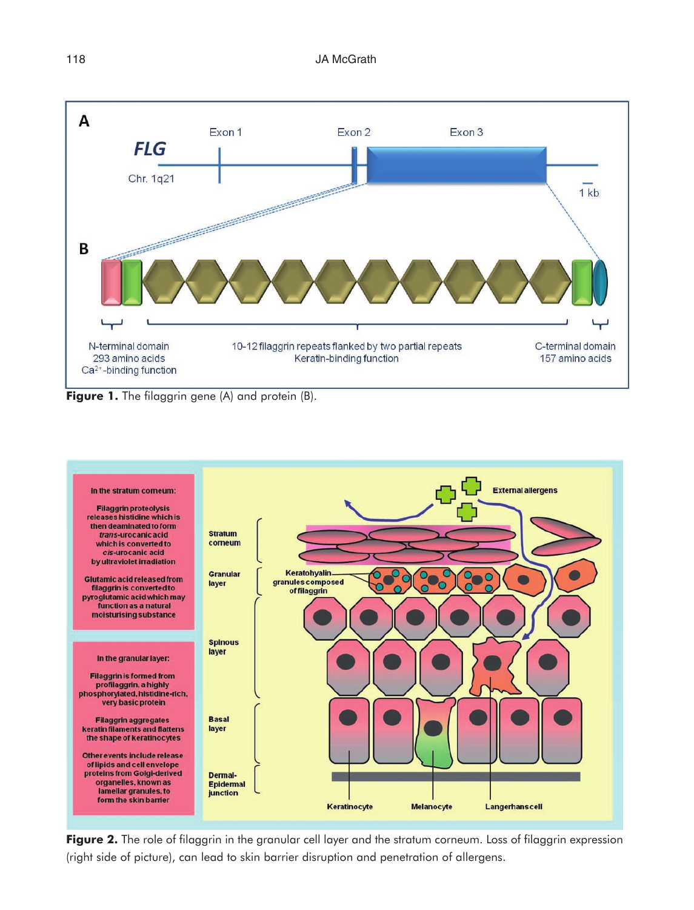

**Figure 1.** The filaggrin gene (A) and protein (B).



Figure 2. The role of filaggrin in the granular cell layer and the stratum corneum. Loss of filaggrin expression (right side of picture), can lead to skin barrier disruption and penetration of allergens.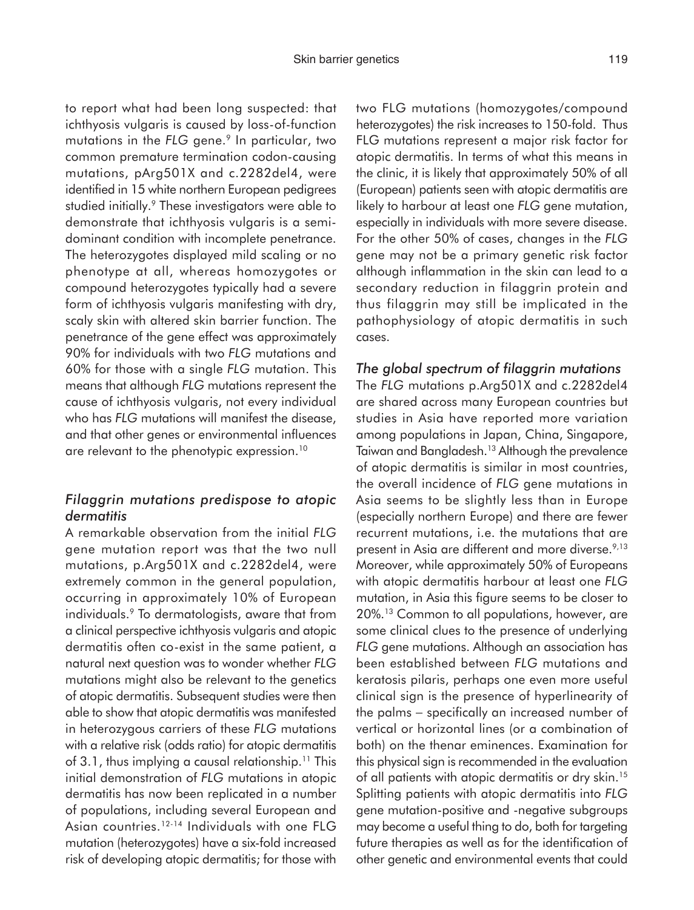to report what had been long suspected: that ichthyosis vulgaris is caused by loss-of-function mutations in the FLG gene.<sup>9</sup> In particular, two common premature termination codon-causing mutations, pArg501X and c.2282del4, were identified in 15 white northern European pedigrees studied initially.<sup>9</sup> These investigators were able to demonstrate that ichthyosis vulgaris is a semidominant condition with incomplete penetrance. The heterozygotes displayed mild scaling or no phenotype at all, whereas homozygotes or compound heterozygotes typically had a severe form of ichthyosis vulgaris manifesting with dry, scaly skin with altered skin barrier function. The penetrance of the gene effect was approximately 90% for individuals with two *FLG* mutations and 60% for those with a single *FLG* mutation. This means that although *FLG* mutations represent the cause of ichthyosis vulgaris, not every individual who has *FLG* mutations will manifest the disease, and that other genes or environmental influences are relevant to the phenotypic expression.<sup>10</sup>

#### *Filaggrin mutations predispose to atopic dermatitis*

A remarkable observation from the initial *FLG* gene mutation report was that the two null mutations, p.Arg501X and c.2282del4, were extremely common in the general population, occurring in approximately 10% of European individuals.9 To dermatologists, aware that from a clinical perspective ichthyosis vulgaris and atopic dermatitis often co-exist in the same patient, a natural next question was to wonder whether *FLG* mutations might also be relevant to the genetics of atopic dermatitis. Subsequent studies were then able to show that atopic dermatitis was manifested in heterozygous carriers of these *FLG* mutations with a relative risk (odds ratio) for atopic dermatitis of 3.1, thus implying a causal relationship.<sup>11</sup> This initial demonstration of *FLG* mutations in atopic dermatitis has now been replicated in a number of populations, including several European and Asian countries.12-14 Individuals with one FLG mutation (heterozygotes) have a six-fold increased risk of developing atopic dermatitis; for those with

two FLG mutations (homozygotes/compound heterozygotes) the risk increases to 150-fold. Thus FLG mutations represent a major risk factor for atopic dermatitis. In terms of what this means in the clinic, it is likely that approximately 50% of all (European) patients seen with atopic dermatitis are likely to harbour at least one *FLG* gene mutation, especially in individuals with more severe disease. For the other 50% of cases, changes in the *FLG* gene may not be a primary genetic risk factor although inflammation in the skin can lead to a secondary reduction in filaggrin protein and thus filaggrin may still be implicated in the pathophysiology of atopic dermatitis in such cases.

#### *The global spectrum of filaggrin mutations*

The *FLG* mutations p.Arg501X and c.2282del4 are shared across many European countries but studies in Asia have reported more variation among populations in Japan, China, Singapore, Taiwan and Bangladesh.<sup>13</sup> Although the prevalence of atopic dermatitis is similar in most countries, the overall incidence of *FLG* gene mutations in Asia seems to be slightly less than in Europe (especially northern Europe) and there are fewer recurrent mutations, i.e. the mutations that are present in Asia are different and more diverse.<sup>9,13</sup> Moreover, while approximately 50% of Europeans with atopic dermatitis harbour at least one *FLG* mutation, in Asia this figure seems to be closer to 20%.13 Common to all populations, however, are some clinical clues to the presence of underlying *FLG* gene mutations. Although an association has been established between *FLG* mutations and keratosis pilaris, perhaps one even more useful clinical sign is the presence of hyperlinearity of the palms − specifically an increased number of vertical or horizontal lines (or a combination of both) on the thenar eminences. Examination for this physical sign is recommended in the evaluation of all patients with atopic dermatitis or dry skin.<sup>15</sup> Splitting patients with atopic dermatitis into *FLG* gene mutation-positive and -negative subgroups may become a useful thing to do, both for targeting future therapies as well as for the identification of other genetic and environmental events that could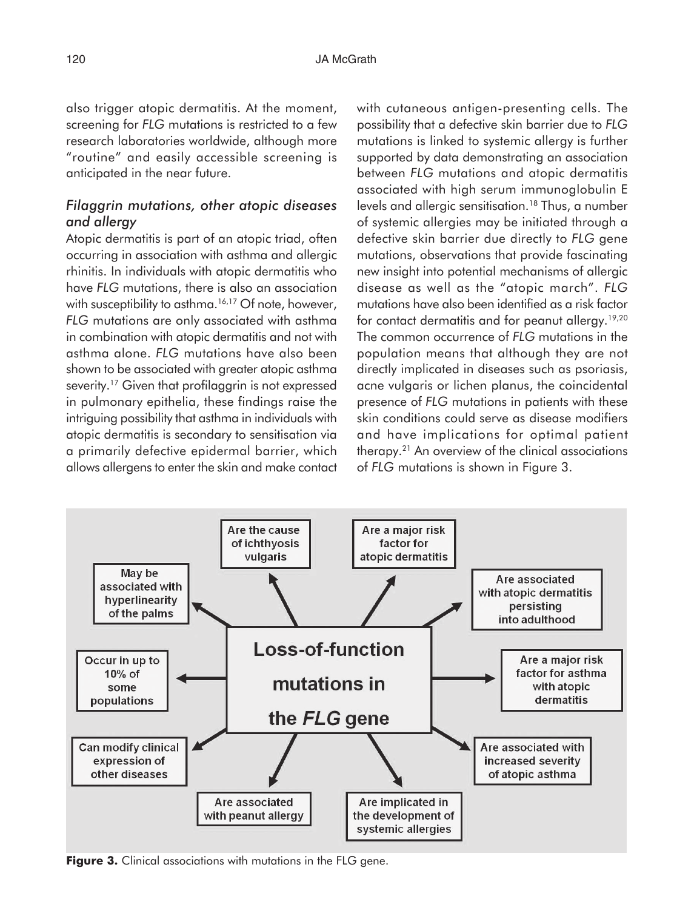also trigger atopic dermatitis. At the moment, screening for *FLG* mutations is restricted to a few research laboratories worldwide, although more "routine" and easily accessible screening is anticipated in the near future.

#### *Filaggrin mutations, other atopic diseases and allergy*

Atopic dermatitis is part of an atopic triad, often occurring in association with asthma and allergic rhinitis. In individuals with atopic dermatitis who have *FLG* mutations, there is also an association with susceptibility to asthma.<sup>16,17</sup> Of note, however, *FLG* mutations are only associated with asthma in combination with atopic dermatitis and not with asthma alone. *FLG* mutations have also been shown to be associated with greater atopic asthma severity.<sup>17</sup> Given that profilaggrin is not expressed in pulmonary epithelia, these findings raise the intriguing possibility that asthma in individuals with atopic dermatitis is secondary to sensitisation via a primarily defective epidermal barrier, which allows allergens to enter the skin and make contact with cutaneous antigen-presenting cells. The possibility that a defective skin barrier due to *FLG* mutations is linked to systemic allergy is further supported by data demonstrating an association between *FLG* mutations and atopic dermatitis associated with high serum immunoglobulin E levels and allergic sensitisation.<sup>18</sup> Thus, a number of systemic allergies may be initiated through a defective skin barrier due directly to *FLG* gene mutations, observations that provide fascinating new insight into potential mechanisms of allergic disease as well as the "atopic march". *FLG* mutations have also been identified as a risk factor for contact dermatitis and for peanut allergy.<sup>19,20</sup> The common occurrence of *FLG* mutations in the population means that although they are not directly implicated in diseases such as psoriasis, acne vulgaris or lichen planus, the coincidental presence of *FLG* mutations in patients with these skin conditions could serve as disease modifiers and have implications for optimal patient therapy.21 An overview of the clinical associations of *FLG* mutations is shown in Figure 3.



**Figure 3.** Clinical associations with mutations in the FLG gene.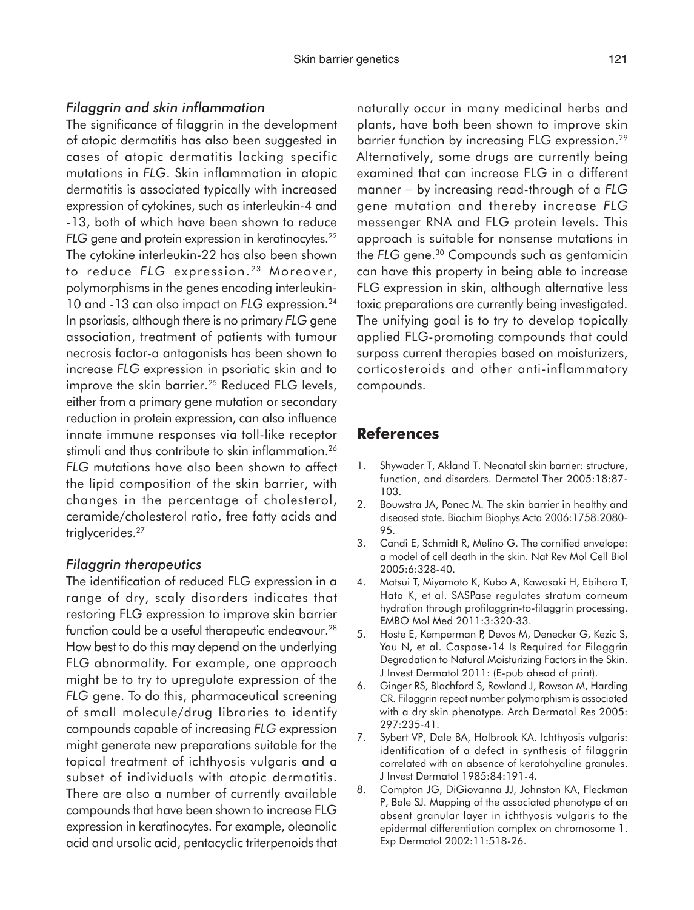### *Filaggrin and skin inflammation*

The significance of filaggrin in the development of atopic dermatitis has also been suggested in cases of atopic dermatitis lacking specific mutations in *FLG*. Skin inflammation in atopic dermatitis is associated typically with increased expression of cytokines, such as interleukin-4 and -13, both of which have been shown to reduce *FLG* gene and protein expression in keratinocytes.<sup>22</sup> The cytokine interleukin-22 has also been shown to reduce FLG expression.<sup>23</sup> Moreover, polymorphisms in the genes encoding interleukin-10 and -13 can also impact on *FLG* expression.24 In psoriasis, although there is no primary *FLG* gene association, treatment of patients with tumour necrosis factor-a antagonists has been shown to increase *FLG* expression in psoriatic skin and to improve the skin barrier.<sup>25</sup> Reduced FLG levels, either from a primary gene mutation or secondary reduction in protein expression, can also influence innate immune responses via toll-like receptor stimuli and thus contribute to skin inflammation.<sup>26</sup> *FLG* mutations have also been shown to affect the lipid composition of the skin barrier, with changes in the percentage of cholesterol, ceramide/cholesterol ratio, free fatty acids and triglycerides.<sup>27</sup>

#### *Filaggrin therapeutics*

The identification of reduced FLG expression in a range of dry, scaly disorders indicates that restoring FLG expression to improve skin barrier function could be a useful therapeutic endeavour.<sup>28</sup> How best to do this may depend on the underlying FLG abnormality. For example, one approach might be to try to upregulate expression of the *FLG* gene. To do this, pharmaceutical screening of small molecule/drug libraries to identify compounds capable of increasing *FLG* expression might generate new preparations suitable for the topical treatment of ichthyosis vulgaris and a subset of individuals with atopic dermatitis. There are also a number of currently available compounds that have been shown to increase FLG expression in keratinocytes. For example, oleanolic acid and ursolic acid, pentacyclic triterpenoids that

naturally occur in many medicinal herbs and plants, have both been shown to improve skin barrier function by increasing FLG expression.29 Alternatively, some drugs are currently being examined that can increase FLG in a different manner − by increasing read-through of a *FLG* gene mutation and thereby increase *FLG* messenger RNA and FLG protein levels. This approach is suitable for nonsense mutations in the *FLG* gene.30 Compounds such as gentamicin can have this property in being able to increase FLG expression in skin, although alternative less toxic preparations are currently being investigated. The unifying goal is to try to develop topically applied FLG-promoting compounds that could surpass current therapies based on moisturizers, corticosteroids and other anti-inflammatory compounds.

## **References**

- 1. Shywader T, Akland T. Neonatal skin barrier: structure, function, and disorders. Dermatol Ther 2005:18:87- 103.
- 2. Bouwstra JA, Ponec M. The skin barrier in healthy and diseased state. Biochim Biophys Acta 2006:1758:2080- 95.
- 3. Candi E, Schmidt R, Melino G. The cornified envelope: a model of cell death in the skin. Nat Rev Mol Cell Biol 2005:6:328-40.
- 4. Matsui T, Miyamoto K, Kubo A, Kawasaki H, Ebihara T, Hata K, et al. SASPase regulates stratum corneum hydration through profilaggrin-to-filaggrin processing. EMBO Mol Med 2011:3:320-33.
- 5. Hoste E, Kemperman P, Devos M, Denecker G, Kezic S, Yau N, et al. Caspase-14 Is Required for Filaggrin Degradation to Natural Moisturizing Factors in the Skin. J Invest Dermatol 2011: (E-pub ahead of print).
- 6. Ginger RS, Blachford S, Rowland J, Rowson M, Harding CR. Filaggrin repeat number polymorphism is associated with a dry skin phenotype. Arch Dermatol Res 2005: 297:235-41.
- 7. Sybert VP, Dale BA, Holbrook KA. Ichthyosis vulgaris: identification of a defect in synthesis of filaggrin correlated with an absence of keratohyaline granules. J Invest Dermatol 1985:84:191-4.
- 8. Compton JG, DiGiovanna JJ, Johnston KA, Fleckman P, Bale SJ. Mapping of the associated phenotype of an absent granular layer in ichthyosis vulgaris to the epidermal differentiation complex on chromosome 1. Exp Dermatol 2002:11:518-26.